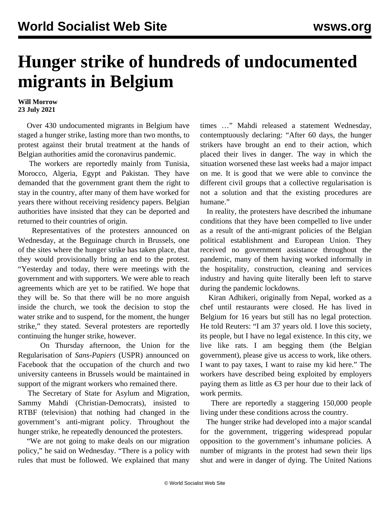## **Hunger strike of hundreds of undocumented migrants in Belgium**

## **Will Morrow 23 July 2021**

 Over 430 undocumented migrants in Belgium have staged a hunger strike, lasting more than two months, to protest against their brutal treatment at the hands of Belgian authorities amid the coronavirus pandemic.

 The workers are reportedly mainly from Tunisia, Morocco, Algeria, Egypt and Pakistan. They have demanded that the government grant them the right to stay in the country, after many of them have worked for years there without receiving residency papers. Belgian authorities have insisted that they can be deported and returned to their countries of origin.

 Representatives of the protesters announced on Wednesday, at the Beguinage church in Brussels, one of the sites where the hunger strike has taken place, that they would provisionally bring an end to the protest. "Yesterday and today, there were meetings with the government and with supporters. We were able to reach agreements which are yet to be ratified. We hope that they will be. So that there will be no more anguish inside the church, we took the decision to stop the water strike and to suspend, for the moment, the hunger strike," they stated. Several protesters are reportedly continuing the hunger strike, however.

 On Thursday afternoon, the Union for the Regularisation of *Sans-Papiers* (USPR) announced on Facebook that the occupation of the church and two university canteens in Brussels would be maintained in support of the migrant workers who remained there.

 The Secretary of State for Asylum and Migration, Sammy Mahdi (Christian-Democrats), insisted to RTBF (television) that nothing had changed in the government's anti-migrant policy. Throughout the hunger strike, he repeatedly denounced the protesters.

 "We are not going to make deals on our migration policy," he said on Wednesday. "There is a policy with rules that must be followed. We explained that many times …" Mahdi released a statement Wednesday, contemptuously declaring: "After 60 days, the hunger strikers have brought an end to their action, which placed their lives in danger. The way in which the situation worsened these last weeks had a major impact on me. It is good that we were able to convince the different civil groups that a collective regularisation is not a solution and that the existing procedures are humane."

 In reality, the protesters have described the inhumane conditions that they have been compelled to live under as a result of the anti-migrant policies of the Belgian political establishment and European Union. They received no government assistance throughout the pandemic, many of them having worked informally in the hospitality, construction, cleaning and services industry and having quite literally been left to starve during the pandemic lockdowns.

 Kiran Adhikeri, originally from Nepal, worked as a chef until restaurants were closed. He has lived in Belgium for 16 years but still has no legal protection. He told Reuters: "I am 37 years old. I love this society, its people, but I have no legal existence. In this city, we live like rats. I am begging them (the Belgian government), please give us access to work, like others. I want to pay taxes, I want to raise my kid here." The workers have described being exploited by employers paying them as little as  $\epsilon$ 3 per hour due to their lack of work permits.

 There are reportedly a staggering 150,000 people living under these conditions across the country.

 The hunger strike had developed into a major scandal for the government, triggering widespread popular opposition to the government's inhumane policies. A number of migrants in the protest had sewn their lips shut and were in danger of dying. The United Nations